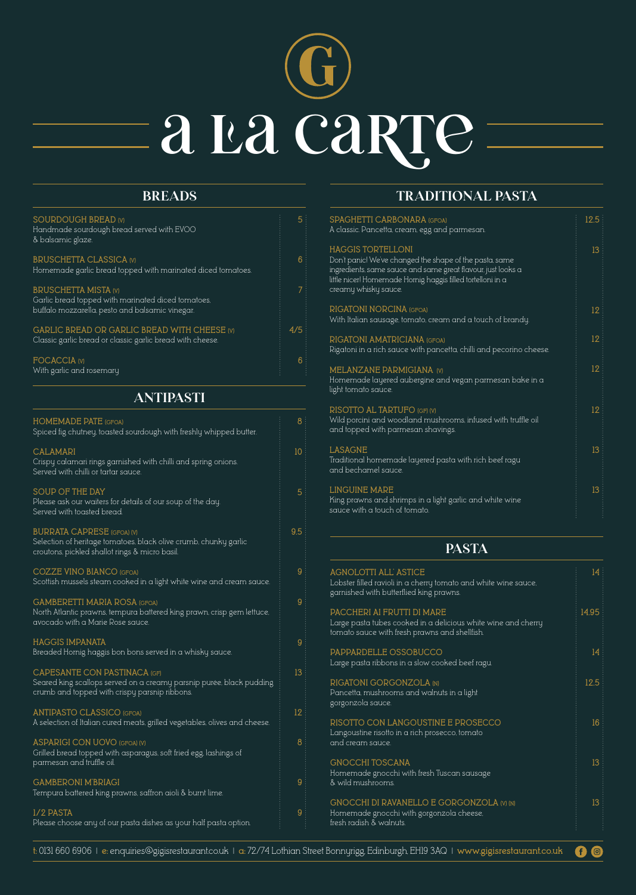# **a la carte**

| <b>SOURDOUGH BREAD (V)</b><br>Handmade sourdough bread served with EVOO<br>& balsamic glaze.                                         |     |
|--------------------------------------------------------------------------------------------------------------------------------------|-----|
| <b>BRUSCHETTA CLASSICA (V)</b><br>Homemade garlic bread topped with marinated diced tomatoes.                                        | 6   |
| <b>BRUSCHETTA MISTA (V)</b><br>Garlic bread topped with marinated diced tomatoes.<br>buffalo mozzarella, pesto and balsamic vinegar. |     |
| <b>GARLIC BREAD OR GARLIC BREAD WITH CHEESE (V)</b><br>Classic garlic bread or classic garlic bread with cheese.                     | 4/5 |
| <b>FOCACCIA (V)</b><br>With garlic and rosemary                                                                                      | 6   |

**RIGATONI GORGONZOLA (N)** Pancetta, mushrooms and walnuts in a light gorgonzola sauce.

**t:** 0131 660 6906 **| e:** enquiries@gigisrestaurant.co.uk **| a:** 72/74 Lothian Street Bonnyrigg, Edinburgh, EH19 3AQ **| www.gigisrestaurant.co.uk**Ø

**RISOTTO CON LANGOUSTINE E PROSECCO**  Langoustine risotto in a rich prosecco, tomato and cream sauce.

**GNOCCHI TOSCANA** Homemade gnocchi with fresh Tuscan sausage & wild mushrooms.

| SPAGHETTI CARBONARA (GFOA)<br>A classic. Pancetta, cream, egg and parmesan.                                                                                                                                                                | 12.5 |
|--------------------------------------------------------------------------------------------------------------------------------------------------------------------------------------------------------------------------------------------|------|
| <b>HAGGIS TORTELLONI</b><br>Don't panic! We've changed the shape of the pasta, same<br>ingredients, same sauce and same great flavour, just looks a<br>little nicer! Homemade Hornig haggis filled tortelloni in a<br>creamy whisky sauce. | 13   |
| RIGATONI NORCINA (GFOA)<br>With Italian sausage, tomato, cream and a touch of brandy.                                                                                                                                                      | 12   |
| RIGATONI AMATRICIANA (GFOA)<br>Rigatoni in a rich sauce with pancetta, chilli and pecorino cheese.                                                                                                                                         | 12   |
| <b>MELANZANE PARMIGIANA (V)</b><br>Homemade layered aubergine and vegan parmesan bake in a<br>light tomato sauce.                                                                                                                          | 12   |
| RISOTTO AL TARTUFO (GF) (V)<br>Wild porcini and woodland mushrooms, infused with truffle oil<br>and topped with parmesan shavings.                                                                                                         | 12   |
| <b>LASAGNE</b><br>Traditional homemade layered pasta with rich beef ragu<br>and bechamel sauce.                                                                                                                                            | 13   |
| <b>LINGUINE MARE</b><br>King prawns and shrimps in a light garlic and white wine<br>sauce with a touch of tomato.                                                                                                                          | 13   |
|                                                                                                                                                                                                                                            |      |

**GNOCCHI DI RAVANELLO E GORGONZOLA (V) (N)** Homemade gnocchi with gorgonzola cheese, fresh radish & walnuts.

| <b>AGNOLOTTI ALL' ASTICE</b><br>Lobster filled ravioli in a cherry tomato and white wine sauce.<br>garnished with butterflied king prawns.   |       |
|----------------------------------------------------------------------------------------------------------------------------------------------|-------|
| PACCHERI AI FRUTTI DI MARE<br>Large pasta tubes cooked in a delicious white wine and cherry<br>tomato sauce with fresh prawns and shellfish. | ા4.95 |
| PAPPARDELLE OSSOBUCCO<br>Large pasta ribbons in a slow cooked beef ragu.                                                                     |       |

| <b>HOMEMADE PATE (GFOA)</b><br>Spiced fig chutney, toasted sourdough with freshly whipped butter.                                                       | 8   |
|---------------------------------------------------------------------------------------------------------------------------------------------------------|-----|
| <b>CALAMARI</b><br>Crispy calamari rings garnished with chilli and spring onions.<br>Served with chilli or tartar sauce.                                | 10  |
| SOUP OF THE DAY<br>Please ask our waiters for details of our soup of the day.<br>Served with toasted bread.                                             | 5   |
| <b>BURRATA CAPRESE (GFOA) (V)</b><br>Selection of heritage tomatoes, black olive crumb, chunky garlic<br>croutons, pickled shallot rings & micro basil. | 9.5 |
| <b>COZZE VINO BIANCO (GFOA)</b><br>Scottish mussels steam cooked in a light white wine and cream sauce.                                                 | 9   |
| <b>GAMBERETTI MARIA ROSA (GFOA)</b><br>North Atlantic prawns, tempura battered king prawn, crisp gem lettuce,<br>avocado with a Marie Rose sauce.       | 9   |
| <b>HAGGIS IMPANATA</b><br>Breaded Hornig haggis bon bons served in a whisky sauce.                                                                      | 9   |

**CAPESANTE CON PASTINACA (GF)** Seared king scallops served on a creamy parsnip purée, black pudding crumb and topped with crispy parsnip ribbons.

**ANTIPASTO CLASSICO (GFOA)** A selection of Italian cured meats, grilled vegetables, olives and cheese.

**ASPARIGI CON UOVO (GFOA) (V)** Grilled bread topped with asparagus, soft fried egg, lashings of parmesan and truffle oil.

**GAMBERONI M'BRIAGI** Tempura battered king prawns, saffron aioli & burnt lime.

**1/2 PASTA** Please choose any of our pasta dishes as your half pasta option.

**12.5**

**16**

**13**

**13**

<u>( ල</u>

**13**

**12**

**8**

**9**

**9**

## **BREADS TRADITIONAL PASTA**

## **PASTA**

## **ANTIPASTI**